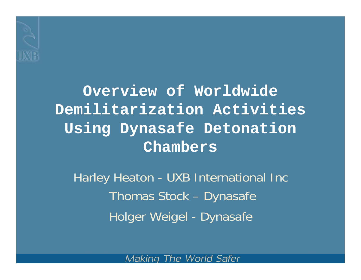

**Overview of Worldwide Demilitarization Activities Using Dynasafe Detonation Chambers**

Harley Heaton - UXB International Inc Thomas Stock – Dynasafe Holger Weigel - Dynasafe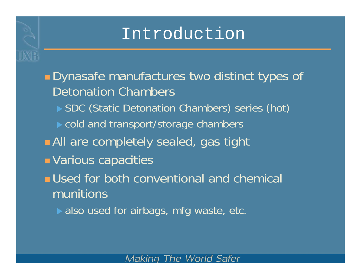#### Introduction

**Dynasafe manufactures two distinct types of** Detonation Chambers▶ SDC (Static Detonation Chambers) series (hot)  $\triangleright$  cold and transport/storage chambers **All** are completely sealed, gas tight **E** Various capacities **<u>■</u>** Used for both conventional and chemical munitions $\blacktriangleright$  also used for airbags, mfg waste, etc.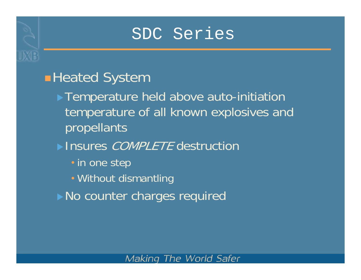#### SDC Series

#### **Heated System**

- **Temperature held above auto-initiation** temperature of all known explosives and propellants
- Insures *COMPLETE* destruction
	- in one step
	- Without dismantling
- No counter charges required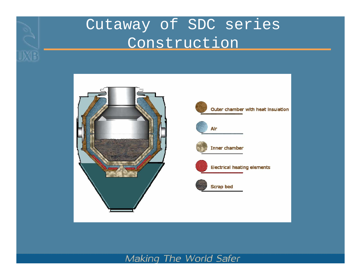### Cutaway of SDC series Construction



**UXB** 



Outer chamber with heat insulation



Alr



Inner chamber



**Electrical heating elements** 

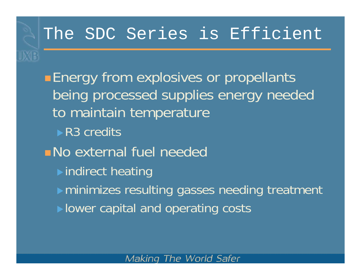#### The SDC Series is Efficient

**Energy from explosives or propellants** being processed supplies energy needed to maintain temperature  $\blacktriangleright$  R3 credits No external fuel needed $\triangleright$  indirect heating  $\triangleright$  minimizes resulting gasses needing treatment  $\blacktriangleright$  lower capital and operating costs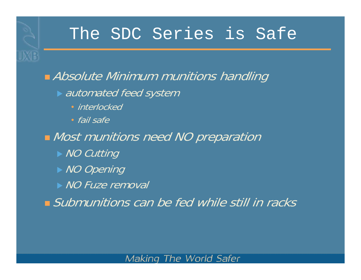**• Absolute Minimum munitions handling**  $\blacktriangleright$  automated feed system • interlocked• fail safe**Nost munitions need NO preparation**  $\triangleright$  NO Cutting  $\rightarrow$  NO Opening  $\triangleright$  NO Fuze removal Submunitions can be fed while still in racks

MF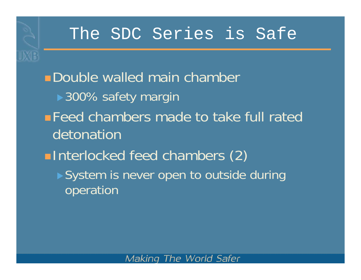**ME** 

**Double walled main chamber** ▶ 300% safety margin **Feed chambers made to take full rated** detonation**Interlocked feed chambers (2)** ▶ System is never open to outside during operation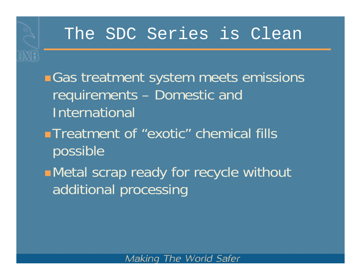**Gas treatment system meets emissions** requirements – Domestic and International **Treatment of "exotic" chemical fills** possible Metal scrap ready for recycle without additional processing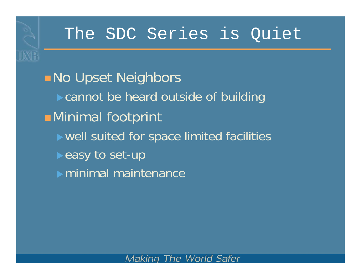**No Upset Neighbors**  $\triangleright$  cannot be heard outside of building Minimal footprint  $\triangleright$  well suited for space limited facilities **Easy to set-up**  $\blacktriangleright$  minimal maintenance

**XB**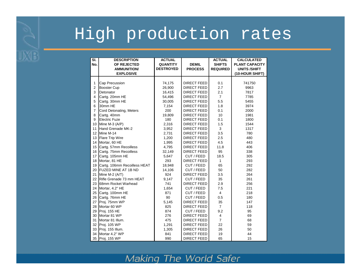### High production rates

**UXB** 

| SI.<br>No.     | <b>DESCRIPTION</b><br>OF REJECTED | <b>ACTUAL</b><br><b>QUANTITY</b> | <b>DEMIL</b>       | <b>ACTUAL</b><br><b>SHIFTS</b> | <b>CALCULATED</b><br><b>PLANT CAPACITY</b> |
|----------------|-----------------------------------|----------------------------------|--------------------|--------------------------------|--------------------------------------------|
|                | <b>AMMUNITION/</b>                | <b>DESTROYED</b>                 | <b>PROCESS</b>     | <b>REQUIRED</b>                | <b>UNITS/SHIFT</b>                         |
|                | <b>EXPLOSIVE</b>                  |                                  |                    |                                | (10-HOUR SHIFT)                            |
|                |                                   |                                  |                    |                                |                                            |
| $\mathbf{1}$   | Cap Precussion                    | 74,175                           | <b>DIRECT FEED</b> | 0.1                            | 741750                                     |
| $\overline{2}$ | <b>Booster Cup</b>                | 26,900                           | <b>DIRECT FEED</b> | 2.7                            | 9963                                       |
| 3              | Detonator                         | 16,415                           | <b>DIRECT FEED</b> | 2.1                            | 7817                                       |
| 4              | Cartg. 20mm HE                    | 54,496                           | <b>DIRECT FEED</b> | $\overline{7}$                 | 7785                                       |
| 5              | Cartg. 30mm HE                    | 30,005                           | <b>DIRECT FEED</b> | 5.5                            | 5455                                       |
| 6              | 30mm HE                           | 7,154                            | <b>DIRECT FEED</b> | 1.8                            | 3974                                       |
| $\overline{7}$ | Cord Detonating, Meters           | 200                              | <b>DIRECT FEED</b> | 0.1                            | 2000                                       |
| 8              | Cartg. 40mm                       | 19,809                           | <b>DIRECT FEED</b> | 10                             | 1981                                       |
| 9              | <b>Electric Fuze</b>              | 180                              | <b>DIRECT FEED</b> | 0.1                            | 1800                                       |
| 10             | Mine M-3 $(A/P)$                  | 2,316                            | <b>DIRECT FEED</b> | 1.5                            | 1544                                       |
| 11             | Hand Grenade MK-2                 | 3,952                            | <b>DIRECT FEED</b> | 3                              | 1317                                       |
| 12             | Mine M-14                         | 2,731                            | <b>DIRECT FEED</b> | 3.5                            | 780                                        |
| 13             | <b>Flare Trip Wire</b>            | 1,200                            | <b>DIRECT FEED</b> | 2.5                            | 480                                        |
| 14             | Mortar, 60 HE                     | 1,995                            | <b>DIRECT FEED</b> | 4.5                            | 443                                        |
| 15             | Cartg. 57mm Recoilless            | 4,795                            | <b>DIRECT FEED</b> | 11.8                           | 406                                        |
| 16             | Cartg. 75mm Recoilless            | 32,149                           | <b>DIRECT FEED</b> | 95                             | 338                                        |
| 17             | Cartg. 105mm HE                   | 5,647                            | CUT / FEED         | 18.5                           | 305                                        |
| 18             | Mortar, 81 HE                     | 293                              | <b>DIRECT FEED</b> | 1                              | 293                                        |
| 19             | Cartg. 106mm Recoilless HEAT      | 18,948                           | CUT / FEED         | 65                             | 292                                        |
| 20             | <b>FUZED MINE AT 1B ND</b>        | 14,106                           | CUT / FEED         | 50                             | 282                                        |
| 21             | Mine M-2 (A/T)                    | 924                              | <b>DIRECT FEED</b> | 3.5                            | 264                                        |
| 22             | Rifle Grenade 73 mm HEAT          | 9,147                            | CUT / FEED         | 35                             | 261                                        |
| 23             | 68mm Rocket Warhead               | 741                              | <b>DIRECT FEED</b> | 2.9                            | 256                                        |
| 24             | Mortar, 4.2" HE                   | 1,654                            | CUT / FEED         | 7.5                            | 221                                        |
| 25             | Cartg. 100mm HE                   | 871                              | CUT / FEED         | $\overline{4}$                 | 218                                        |
| 26             | Cartg. 76mm HE                    | 90                               | CUT / FEED         | 0.5                            | 180                                        |
| 27             | Proj. 75mm WP                     | 5,145                            | <b>DIRECT FEED</b> | 35                             | 147                                        |
| 28             | Mortar 60 WP                      | 825                              | <b>DIRECT FEED</b> | $\overline{7}$                 | 118                                        |
| 29             | Proj. 155 HE                      | 874                              | CUT / FEED         | 9.2                            | 95                                         |
| 30             | Mortar 81 WP                      | 276                              | <b>DIRECT FEED</b> | 4                              | 69                                         |
| 31             | Mortar 81 Illum.                  | 475                              | <b>DIRECT FEED</b> | 7                              | 68                                         |
| 32             | Proj. 105 WP                      | 1,291                            | <b>DIRECT FEED</b> | 22                             | 59                                         |
| 33             | Proj. 155 Illum.                  | 1,305                            | <b>DIRECT FEED</b> | 26                             | 50                                         |
| 34             | Mortar 4.2" WP                    | 841                              | <b>DIRECT FEED</b> | 19                             | 44                                         |
| 35             | Proj. 155 WP                      | 990                              | <b>DIRECT FEED</b> | 65                             | 15                                         |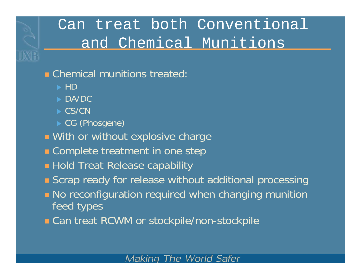### Can treat both Conventional and Chemical Munitions

#### **E** Chemical munitions treated

- $\blacktriangleright$  HD
- $\blacktriangleright$  DA/DC
- $\triangleright$  CS/CN
- ▶ CG (Phosgene)
- **Nith or without explosive charge**
- **Examplete treatment in one step**
- **E** Hold Treat Release capability
- **Exampt Scrap ready for release without additional processing**
- **No reconfiguration required when changing munition** feed types
- **Can treat RCWM or stockpile/non-stockpile**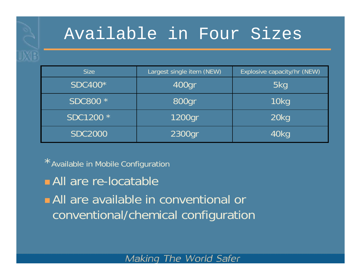### Available in Four Sizes

| <b>Size</b>    | Largest single item (NEW) |      |
|----------------|---------------------------|------|
| <b>SDC400*</b> | 400gr                     | 5kg  |
| SDC800 *       | 800gr                     | 10kg |
| SDC1200 *      | 1200gr                    | 20kg |
| <b>SDC2000</b> | 2300gr                    | 40kg |

\*Available in Mobile Configuration

**All are re-locatable** 

**All** are available in conventional or conventional/chemical configuration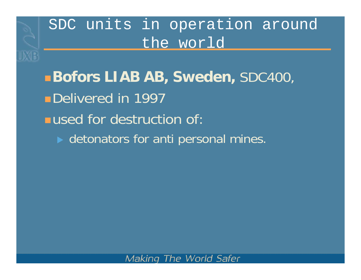**Bofors LIAB AB, Sweden,** SDC400, Delivered in 1997 **used for destruction of:**  $\triangleright$  detonators for anti personal mines.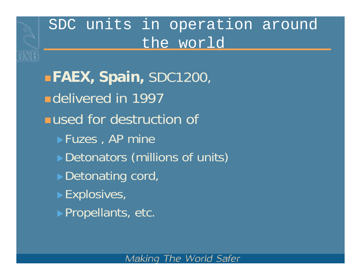**FAEX, Spain,** SDC1200, **ndelivered in 1997 used for destruction of**  $\blacktriangleright$  Fuzes, AP mine Detonators (millions of units)  $\blacktriangleright$  Detonating cord,  $\blacktriangleright$  Explosives,  $\blacktriangleright$  Propellants, etc.

**DXB**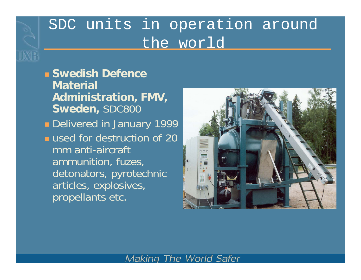**Swedish Defence Material Administration, FMV, Sweden,** SDC800 **Delivered in January 1999 used for destruction of 20** mm anti-aircraft ammunition, fuzes, detonators, pyrotechnic articles, explosives, propellants etc.

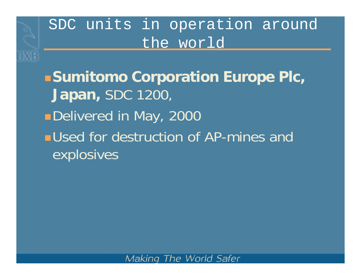**DXB** 

**Sumitomo Corporation Europe Plc, Japan,** SDC 1200, ■Delivered in May, 2000 **<u>■Used</u>** for destruction of AP-mines and explosives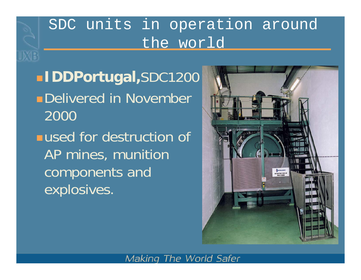**IDDPortugal,**SDC1200 **Delivered in November** 2000**used for destruction of** AP mines, munition components and explosives.

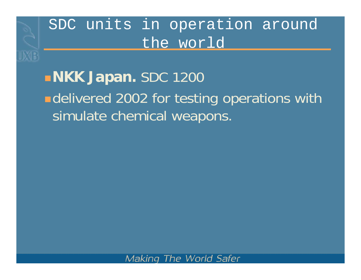**DXB** 

# **NKK Japan.** SDC 1200 **Edelivered 2002 for testing operations with** simulate chemical weapons.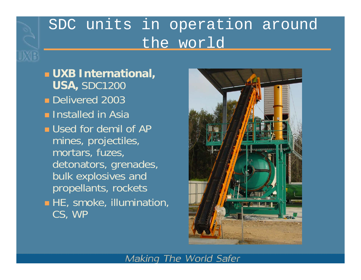**UXB International, USA,** SDC1200 **Delivered 2003 Example Installed in Asia <u>■ Used for demil of AP</u>** mines, projectiles, mortars, fuzes, detonators, grenades, bulk explosives and propellants, rockets **HE**, smoke, illumination, CS, WP

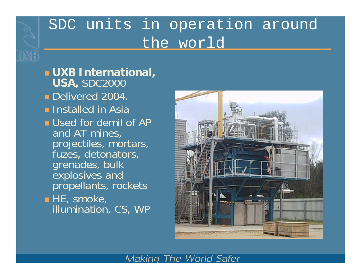**UXB International, USA,** SDC2000 **Delivered 2004. Installed in Asia <u>■ Used for demil of AP</u>** and AT mines, projectiles, mortars, fuzes, detonators, grenades, bulk explosives and propellants, rockets  $\blacksquare$  HE, smoke, illumination, CS, WP

UXE

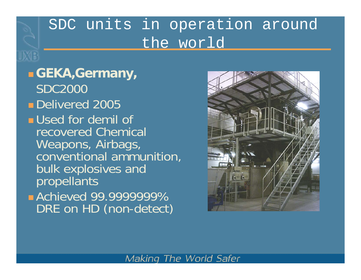**GEKA,Germany,** SDC2000**Delivered 2005 <u>■</u>** Used for demil of recovered Chemical Weapons, Airbags, conventional ammunition, bulk explosives and propellants **Achieved 99.9999999%** DRE on HD (non-detect)

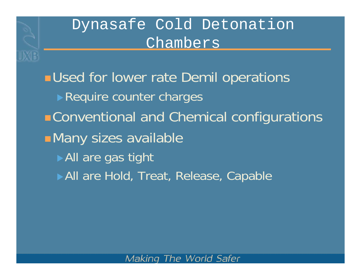### Dynasafe Cold Detonation Chambers

**DYR** 

**<u>■Used for lower rate Demil operations</u>**  $\blacktriangleright$  Require counter charges Conventional and Chemical configurations Many sizes available  $\blacktriangleright$  All are gas tight All are Hold, Treat, Release, Capable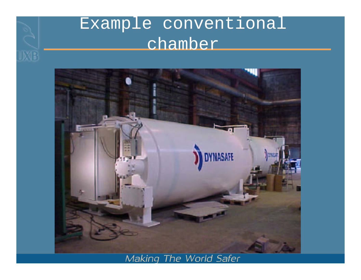# Example conventional chamber

**JXB** 

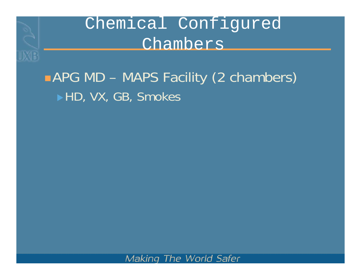

Chemical Configured Chambers

# ■ APG MD – MAPS Facility (2 chambers) ▶HD, VX, GB, Smokes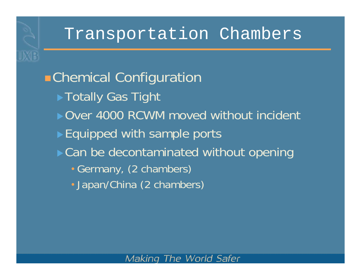**DXB** 

Chemical Configuration ▶ Totally Gas Tight ▶ Over 4000 RCWM moved without incident  $\blacktriangleright$  Equipped with sample ports  $\triangleright$  Can be decontaminated without opening • Germany, (2 chambers) • Japan/China (2 chambers)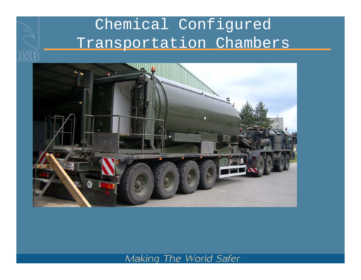### Chemical Configured Transportation Chambers

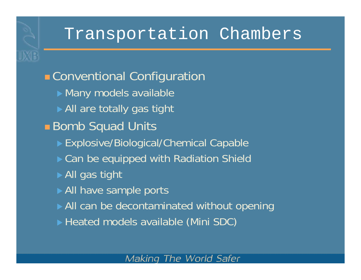**E** Conventional Configuration  $\blacktriangleright$  Many models available  $\blacktriangleright$  All are totally gas tight ■ Bomb Squad Units ▶ Explosive/Biological/Chemical Capable ▶ Can be equipped with Radiation Shield  $\triangleright$  All gas tight All have sample ports  $\triangleright$  All can be decontaminated without opening ▶ Heated models available (Mini SDC)

**DYR**